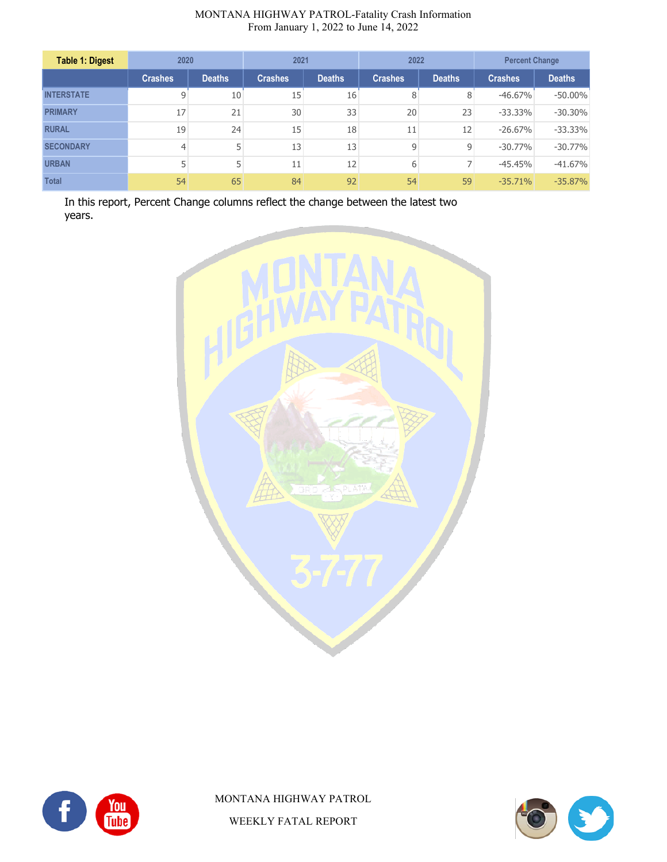| <b>Table 1: Digest</b> | 2020           |               | 2021           |               | 2022           |                   | <b>Percent Change</b> |               |
|------------------------|----------------|---------------|----------------|---------------|----------------|-------------------|-----------------------|---------------|
|                        | <b>Crashes</b> | <b>Deaths</b> | <b>Crashes</b> | <b>Deaths</b> | <b>Crashes</b> | <b>Deaths</b>     | <b>Crashes</b>        | <b>Deaths</b> |
| <b>INTERSTATE</b>      | 9              | 10            | 15             | 16            | 8              | 8                 | $-46.67%$             | $-50.00\%$    |
| <b>PRIMARY</b>         | 17             | 21            | 30             | 33            | 20             | 23                | $-33.33%$             | $-30.30%$     |
| <b>RURAL</b>           | 19             | 24            | 15             | 18            | 11             | $12 \overline{ }$ | $-26.67%$             | $-33.33%$     |
| <b>SECONDARY</b>       |                | 5             | 13             | 13            | 9              | 9                 | $-30.77%$             | $-30.77%$     |
| <b>URBAN</b>           |                | 5             | 11             | 12            | 6              | 7                 | $-45.45%$             | $-41.67%$     |
| <b>Total</b>           | 54             | 65            | 84             | 92            | 54             | 59                | $-35.71\%$            | $-35.87%$     |

In this report, Percent Change columns reflect the change between the latest two years.





MONTANA HIGHWAY PATROL WEEKLY FATAL REPORT

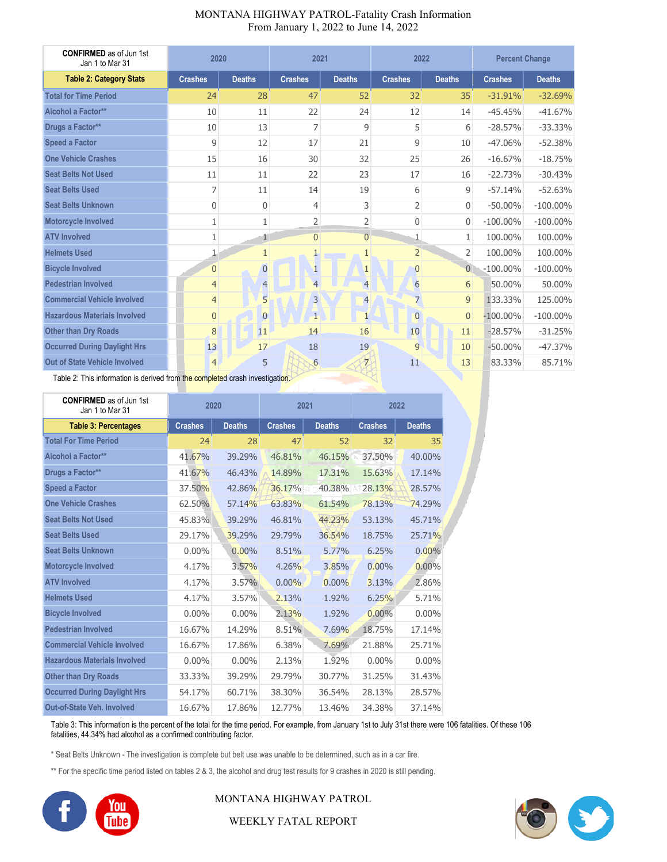| <b>CONFIRMED</b> as of Jun 1st<br>Jan 1 to Mar 31 | 2020           |                | 2021           |                | 2022           |                  | <b>Percent Change</b> |               |
|---------------------------------------------------|----------------|----------------|----------------|----------------|----------------|------------------|-----------------------|---------------|
| <b>Table 2: Category Stats</b>                    | <b>Crashes</b> | <b>Deaths</b>  | <b>Crashes</b> | <b>Deaths</b>  | <b>Crashes</b> | <b>Deaths</b>    | <b>Crashes</b>        | <b>Deaths</b> |
| <b>Total for Time Period</b>                      | 24             | 28             | 47             | 52             | 32             | 35               | $-31.91%$             | $-32.69%$     |
| Alcohol a Factor**                                | 10             | 11             | 22             | 24             | 12             | 14               | $-45.45%$             | $-41.67%$     |
| Drugs a Factor**                                  | 10             | 13             | 7              | 9              | 5              | 6                | $-28.57%$             | $-33.33%$     |
| <b>Speed a Factor</b>                             | 9              | 12             | 17             | 21             | 9              | 10               | $-47.06%$             | $-52.38%$     |
| <b>One Vehicle Crashes</b>                        | 15             | 16             | 30             | 32             | 25             | 26               | $-16.67%$             | $-18.75%$     |
| <b>Seat Belts Not Used</b>                        | 11             | 11             | 22             | 23             | 17             | 16               | $-22.73%$             | $-30.43%$     |
| <b>Seat Belts Used</b>                            | 7              | 11             | 14             | 19             | 6              | 9                | $-57.14%$             | $-52.63%$     |
| <b>Seat Belts Unknown</b>                         | 0              | $\mathbf{0}$   | $\overline{4}$ | 3              | $\overline{2}$ | $\overline{0}$   | $-50.00\%$            | $-100.00\%$   |
| Motorcycle Involved                               | 1              | 1              | $\overline{2}$ | $\overline{2}$ | $\mathbf{0}$   | 0                | $-100.00\%$           | $-100.00\%$   |
| <b>ATV Involved</b>                               | 1              | $\mathbf{I}$   | $\overline{0}$ | $\overline{0}$ | 1              | 1                | 100.00%               | 100.00%       |
| <b>Helmets Used</b>                               | $\mathbf{1}$   | $\mathbf{1}$   | $\mathbf{1}$   | $\mathbf{1}$   | 2 <sup>1</sup> | $\overline{2}$   | 100.00%               | 100.00%       |
| <b>Bicycle Involved</b>                           | $\overline{0}$ | $\overline{0}$ | $\mathbf{1}$   | $\mathbf{1}$   | $\overline{0}$ | $\overline{0}$   | $-100.00\%$           | $-100.00\%$   |
| <b>Pedestrian Involved</b>                        | $\overline{4}$ | $\overline{4}$ | $\overline{4}$ | $\overline{4}$ | 6              | $6 \overline{6}$ | 50.00%                | 50.00%        |
| <b>Commercial Vehicle Involved</b>                | $\overline{4}$ | 5              | $\overline{3}$ | $\overline{4}$ | $\overline{7}$ | 9 <sup>1</sup>   | 133.33%               | 125.00%       |
| <b>Hazardous Materials Involved</b>               | $\overline{0}$ | $\overline{0}$ | $\mathbf{1}$   | $\mathbf{1}$   | $\overline{0}$ | $\overline{0}$   | $-100.00\%$           | $-100.00\%$   |
| <b>Other than Dry Roads</b>                       | 8              | 11             | 14             | 16             | 10             | 11               | $-28.57%$             | $-31.25%$     |
| <b>Occurred During Daylight Hrs</b>               | 13             | 17             | 18             | 19             | 9              | 10               | $-50.00%$             | $-47.37%$     |
| <b>Out of State Vehicle Involved</b>              | $\overline{4}$ | 5              | 6              | $\overline{z}$ | 11             | 13               | 83.33%                | 85.71%        |

Table 2: This information is derived from the completed crash investigation.

| <b>CONFIRMED</b> as of Jun 1st<br>Jan 1 to Mar 31 |                | 2020          |                | 2021          |                | 2022          |
|---------------------------------------------------|----------------|---------------|----------------|---------------|----------------|---------------|
| <b>Table 3: Percentages</b>                       | <b>Crashes</b> | <b>Deaths</b> | <b>Crashes</b> | <b>Deaths</b> | <b>Crashes</b> | <b>Deaths</b> |
| <b>Total For Time Period</b>                      | 24             | 28            | 47             | 52            | 32             | 35            |
| Alcohol a Factor**                                | 41.67%         | 39.29%        | 46.81%         | 46.15%        | 37.50%         | 40.00%        |
| Drugs a Factor**                                  | 41.67%         | 46.43%        | 14.89%         | 17.31%        | 15.63%         | 17.14%        |
| <b>Speed a Factor</b>                             | 37.50%         | 42.86%        | 36.17%         | 40.38%        | 28.13%         | 28.57%        |
| <b>One Vehicle Crashes</b>                        | 62.50%         | 57.14%        | 63.83%         | 61.54%        | 78.13%         | 74.29%        |
| <b>Seat Belts Not Used</b>                        | 45.83%         | 39.29%        | 46.81%         | 44.23%        | 53.13%         | 45.71%        |
| <b>Seat Belts Used</b>                            | 29.17%         | 39.29%        | 29.79%         | 36.54%        | 18.75%         | 25.71%        |
| <b>Seat Belts Unknown</b>                         | $0.00\%$       | $0.00\%$      | 8.51%          | 5.77%         | 6.25%          | $0.00\%$      |
| Motorcycle Involved                               | 4.17%          | 3.57%         | 4.26%          | 3.85%         | 0.00%          | $0.00\%$      |
| <b>ATV Involved</b>                               | 4.17%          | 3.57%         | $0.00\%$       | $0.00\%$      | 3.13%          | 2.86%         |
| <b>Helmets Used</b>                               | 4.17%          | 3.57%         | 2.13%          | 1.92%         | 6.25%          | 5.71%         |
| <b>Bicycle Involved</b>                           | $0.00\%$       | $0.00\%$      | 2.13%          | 1.92%         | 0.00%          | $0.00\%$      |
| <b>Pedestrian Involved</b>                        | 16.67%         | 14.29%        | 8.51%          | 7.69%         | 18.75%         | 17.14%        |
| <b>Commercial Vehicle Involved</b>                | 16.67%         | 17.86%        | 6.38%          | 7.69%         | 21.88%         | 25.71%        |
| <b>Hazardous Materials Involved</b>               | $0.00\%$       | $0.00\%$      | 2.13%          | 1.92%         | $0.00\%$       | $0.00\%$      |
| <b>Other than Dry Roads</b>                       | 33.33%         | 39.29%        | 29.79%         | 30.77%        | 31.25%         | 31.43%        |
| <b>Occurred During Daylight Hrs</b>               | 54.17%         | 60.71%        | 38.30%         | 36.54%        | 28.13%         | 28.57%        |
| Out-of-State Veh. Involved                        | 16.67%         | 17.86%        | 12.77%         | 13.46%        | 34.38%         | 37.14%        |

Table 3: This information is the percent of the total for the time period. For example, from January 1st to July 31st there were 106 fatalities. Of these 106 fatalities, 44.34% had alcohol as a confirmed contributing factor.

\* Seat Belts Unknown - The investigation is complete but belt use was unable to be determined, such as in a car fire.

\*\* For the specific time period listed on tables 2 & 3, the alcohol and drug test results for 9 crashes in 2020 is still pending.



MONTANA HIGHWAY PATROL

S

WEEKLY FATAL REPORT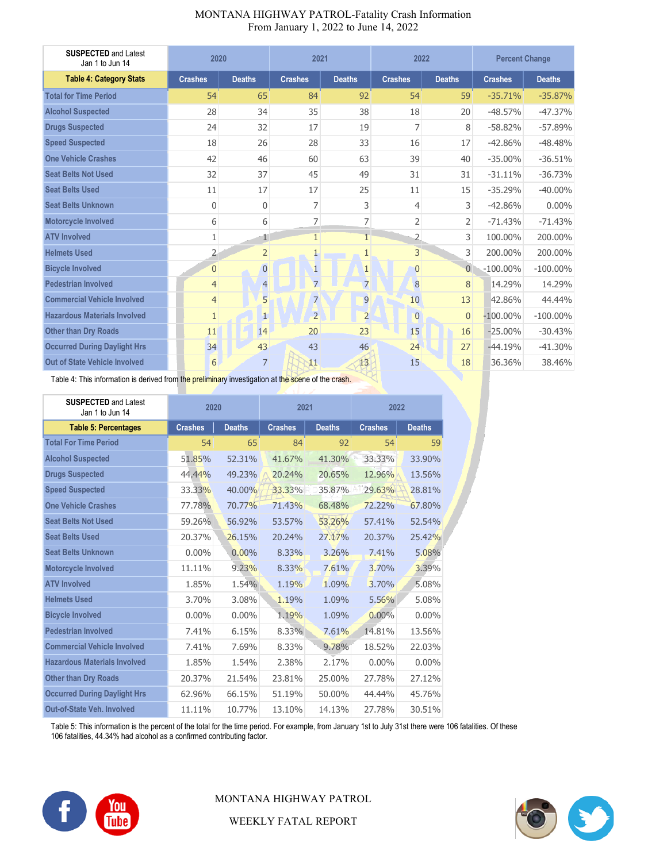| <b>SUSPECTED and Latest</b><br>Jan 1 to Jun 14 | 2020           |                | 2021           |                | 2022           |                | <b>Percent Change</b> |               |
|------------------------------------------------|----------------|----------------|----------------|----------------|----------------|----------------|-----------------------|---------------|
| <b>Table 4: Category Stats</b>                 | <b>Crashes</b> | <b>Deaths</b>  | <b>Crashes</b> | <b>Deaths</b>  | <b>Crashes</b> | <b>Deaths</b>  | <b>Crashes</b>        | <b>Deaths</b> |
| <b>Total for Time Period</b>                   | 54             | 65             | 84             | 92             | 54             | 59             | $-35.71%$             | $-35.87%$     |
| <b>Alcohol Suspected</b>                       | 28             | 34             | 35             | 38             | 18             | 20             | $-48.57%$             | $-47.37%$     |
| <b>Drugs Suspected</b>                         | 24             | 32             | 17             | 19             | 7              | 8              | $-58.82%$             | $-57.89%$     |
| <b>Speed Suspected</b>                         | 18             | 26             | 28             | 33             | 16             | 17             | $-42.86%$             | $-48.48%$     |
| <b>One Vehicle Crashes</b>                     | 42             | 46             | 60             | 63             | 39             | 40             | $-35.00%$             | $-36.51%$     |
| <b>Seat Belts Not Used</b>                     | 32             | 37             | 45             | 49             | 31             | 31             | $-31.11%$             | $-36.73%$     |
| <b>Seat Belts Used</b>                         | 11             | 17             | 17             | 25             | 11             | 15             | $-35.29%$             | $-40.00\%$    |
| <b>Seat Belts Unknown</b>                      | 0              | 0              | 7              | 3              | 4              | 3              | $-42.86%$             | $0.00\%$      |
| Motorcycle Involved                            | 6              | 6              | $\overline{7}$ | 7              | $\overline{2}$ | $\overline{2}$ | $-71.43%$             | $-71.43%$     |
| <b>ATV Involved</b>                            | 1              | 1              | $\mathbf{1}$   | $\mathbf{1}$   | 2              | 3              | 100.00%               | 200.00%       |
| <b>Helmets Used</b>                            | $\overline{2}$ | $\overline{2}$ | $\mathbf{1}$   | $\mathbf{1}$   | $\overline{3}$ | $\overline{3}$ | 200.00%               | 200.00%       |
| <b>Bicycle Involved</b>                        | $\overline{0}$ | $\overline{0}$ | $\mathbf{1}$   | $\mathbf{1}$   | $\overline{0}$ | $\overline{0}$ | $-100.00\%$           | $-100.00\%$   |
| <b>Pedestrian Involved</b>                     | $\overline{4}$ | $\overline{4}$ | $\overline{7}$ | $\overline{7}$ | 8              | 8              | 14.29%                | 14.29%        |
| <b>Commercial Vehicle Involved</b>             | $\overline{4}$ | 5              | $\overline{7}$ | 9              | 10             | 13             | 42.86%                | 44.44%        |
| <b>Hazardous Materials Involved</b>            | $\mathbf{1}$   | $\mathbf{1}$   | $\overline{2}$ | $\overline{2}$ | $\overline{0}$ | $\overline{0}$ | $-100.00\%$           | $-100.00\%$   |
| <b>Other than Dry Roads</b>                    | 11             | 14             | 20             | 23             | 15             | 16             | $-25.00%$             | $-30.43%$     |
| <b>Occurred During Daylight Hrs</b>            | 34             | 43             | 43             | 46             | 24             | 27             | $-44.19%$             | $-41.30%$     |
| <b>Out of State Vehicle Involved</b>           | 6              | $\overline{7}$ | 11             | 13             | 15             | 18             | 36.36%                | 38.46%        |

থ

#### MONTANA HIGHWAY PATROL-Fatality Crash Information From January 1, 2022 to June 14, 2022

Table 4: This information is derived from the preliminary investigation at the scene of the crash.

| <b>SUSPECTED and Latest</b><br>Jan 1 to Jun 14 | 2020           |               | 2021           |               | 2022           |               |
|------------------------------------------------|----------------|---------------|----------------|---------------|----------------|---------------|
| <b>Table 5: Percentages</b>                    | <b>Crashes</b> | <b>Deaths</b> | <b>Crashes</b> | <b>Deaths</b> | <b>Crashes</b> | <b>Deaths</b> |
| <b>Total For Time Period</b>                   | 54             | 65            | 84             | 92            | 54             | 59            |
| <b>Alcohol Suspected</b>                       | 51.85%         | 52.31%        | 41.67%         | 41.30%        | 33.33%         | 33.90%        |
| <b>Drugs Suspected</b>                         | 44.44%         | 49.23%        | 20.24%         | 20.65%        | 12.96%         | 13.56%        |
| <b>Speed Suspected</b>                         | 33.33%         | 40.00%        | 33.33%         | 35.87%        | 29.63%         | 28.81%        |
| <b>One Vehicle Crashes</b>                     | 77.78%         | 70.77%        | 71.43%         | 68.48%        | 72.22%         | 67,80%        |
| <b>Seat Belts Not Used</b>                     | 59.26%         | 56.92%        | 53.57%         | 53.26%        | 57.41%         | 52.54%        |
| <b>Seat Belts Used</b>                         | 20.37%         | 26.15%        | 20.24%         | 27.17%        | 20.37%         | 25.42%        |
| <b>Seat Belts Unknown</b>                      | $0.00\%$       | $0.00\%$      | 8.33%          | 3.26%         | 7.41%          | 5.08%         |
| Motorcycle Involved                            | 11.11%         | 9.23%         | 8.33%          | 7.61%         | 3.70%          | 3.39%         |
| <b>ATV Involved</b>                            | 1.85%          | 1.54%         | 1.19%          | 1.09%         | 3.70%          | 5.08%         |
| <b>Helmets Used</b>                            | 3.70%          | 3.08%         | 1.19%          | 1.09%         | 5.56%          | 5.08%         |
| <b>Bicycle Involved</b>                        | $0.00\%$       | $0.00\%$      | 1.19%          | 1.09%         | $0.00\%$       | $0.00\%$      |
| <b>Pedestrian Involved</b>                     | 7.41%          | 6.15%         | 8.33%          | 7.61%         | 14.81%         | 13.56%        |
| <b>Commercial Vehicle Involved</b>             | 7.41%          | 7.69%         | 8.33%          | 9.78%         | 18.52%         | 22.03%        |
| <b>Hazardous Materials Involved</b>            | 1.85%          | 1.54%         | 2.38%          | 2.17%         | $0.00\%$       | $0.00\%$      |
| <b>Other than Dry Roads</b>                    | 20.37%         | 21.54%        | 23.81%         | 25.00%        | 27.78%         | 27.12%        |
| <b>Occurred During Daylight Hrs</b>            | 62.96%         | 66.15%        | 51.19%         | 50.00%        | 44.44%         | 45.76%        |
| <b>Out-of-State Veh. Involved</b>              | 11.11%         | 10.77%        | 13.10%         | 14.13%        | 27.78%         | 30.51%        |

Table 5: This information is the percent of the total for the time period. For example, from January 1st to July 31st there were 106 fatalities. Of these 106 fatalities, 44.34% had alcohol as a confirmed contributing factor.



MONTANA HIGHWAY PATROL

WEEKLY FATAL REPORT

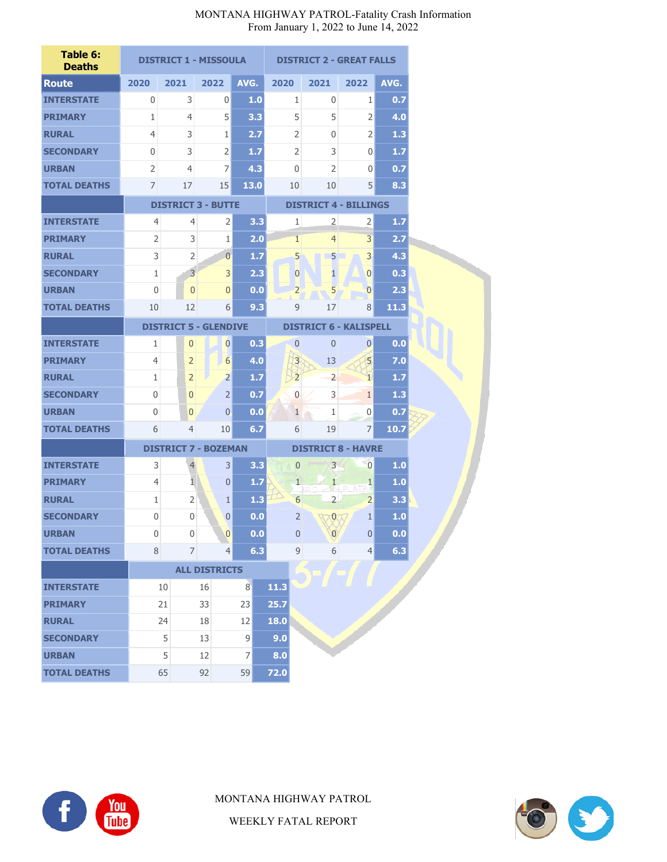| Table 6:<br><b>Deaths</b> |                              |                | <b>DISTRICT 1 - MISSOULA</b> |                 |      | <b>DISTRICT 2 - GREAT FALLS</b> |                              |                                 |      |  |
|---------------------------|------------------------------|----------------|------------------------------|-----------------|------|---------------------------------|------------------------------|---------------------------------|------|--|
| <b>Route</b>              | 2020                         | 2021           | 2022                         | AVG.            | 2020 |                                 | 2021                         | 2022                            | AVG. |  |
| <b>INTERSTATE</b>         | 0                            | 3              | 0                            | 1.0             |      | 1                               | 0                            | 1                               | 0.7  |  |
| <b>PRIMARY</b>            | 1                            | $\overline{4}$ | 5                            | 3.3             |      | 5                               | 5                            | $\overline{2}$                  | 4.0  |  |
| <b>RURAL</b>              | $\overline{4}$               | 3              | 1                            | 2.7             |      | $\overline{2}$                  | $\mathbf{0}$                 | $\overline{2}$                  | 1.3  |  |
| <b>SECONDARY</b>          | 0                            | 3              | 2                            | 1.7             |      | 2                               | 3                            | 0                               | 1.7  |  |
| <b>URBAN</b>              | $\overline{2}$               | 4              | 7                            | 4.3             |      | 0                               | $\overline{2}$               | 0                               | 0.7  |  |
| <b>TOTAL DEATHS</b>       | 7                            | 17             | 15                           | 13.0            |      | 10                              | 10                           | 5                               | 8.3  |  |
|                           | <b>DISTRICT 3 - BUTTE</b>    |                |                              |                 |      |                                 | <b>DISTRICT 4 - BILLINGS</b> |                                 |      |  |
| <b>INTERSTATE</b>         | $\overline{4}$               | 4              | $\overline{2}$               | 3.3             |      | 1                               | $\overline{2}$               | $\overline{2}$                  | 1.7  |  |
| <b>PRIMARY</b>            | 2                            | 3              | $\mathbf{1}$                 | 2.0             |      | 1                               | $\overline{4}$               | 3                               | 2.7  |  |
| <b>RURAL</b>              | 3                            | 2              | $\overline{0}$               | 1.7             |      | 5                               | 5                            | 3                               | 4.3  |  |
| <b>SECONDARY</b>          | 1                            | $\overline{3}$ | 3                            | 2.3             |      | $\overline{0}$                  | $\mathbf{1}$                 | $\overline{0}$                  | 0.3  |  |
| <b>URBAN</b>              | 0                            | $\overline{0}$ | $\overline{0}$               | 0.0             |      | $\overline{2}$                  | 5                            | $\overline{0}$                  | 2.3  |  |
| <b>TOTAL DEATHS</b>       | 10                           | 12             | $6 \mid$                     | 9.3             |      | 9                               | 17                           | 8                               | 11.3 |  |
|                           | <b>DISTRICT 5 - GLENDIVE</b> |                |                              |                 |      | <b>DISTRICT 6 - KALISPELL</b>   |                              |                                 |      |  |
| <b>INTERSTATE</b>         | 1                            | $\mathbf{0}$   | $\overline{0}$               | 0.3             |      | $\mathbf{0}$                    | $\mathbf{0}$                 | $\overline{0}$                  | 0.0  |  |
| <b>PRIMARY</b>            | 4                            | $\overline{2}$ | $6 \overline{6}$             | 4.0             |      | $\overline{3}$                  | 13                           | 5                               | 7.0  |  |
| <b>RURAL</b>              | 1                            | $\overline{2}$ | $\overline{2}$               | 1.7             |      | $\overline{2}$                  | $\overline{2}$               | $\mathbf{1}$                    | 1.7  |  |
| <b>SECONDARY</b>          | $\mathbf 0$                  | $\mathbf{0}$   | $\overline{2}$               | 0.7             |      | $\overline{0}$                  | 3                            | $\mathbf{1}$                    | 1.3  |  |
| <b>URBAN</b>              | $\mathbf{0}$                 | $\mathbf{0}$   | $\overline{0}$               | 0.0             |      | $\mathbf{1}$                    | $\mathbf{1}$                 | $\overline{0}$                  | 0.7  |  |
| <b>TOTAL DEATHS</b>       | 6                            | $\overline{4}$ | 10                           | 6.7             |      | 6                               | 19                           | 7                               | 10.7 |  |
|                           |                              |                | <b>DISTRICT 7 - BOZEMAN</b>  |                 |      |                                 | <b>DISTRICT 8 - HAVRE</b>    |                                 |      |  |
| <b>INTERSTATE</b>         | 3                            | $\overline{4}$ | $\overline{3}$               | 3.3             |      | $\overline{0}$                  | $\overline{3}$               | $\overline{0}$                  | 1.0  |  |
| <b>PRIMARY</b>            | 4                            | 1              | $\overline{0}$               | 1.7             |      | $\mathbf{1}$                    | $\mathbf{1}$                 | $\overline{1}$<br><b>on sit</b> | 1.0  |  |
| <b>RURAL</b>              | 1                            | $\overline{2}$ | $\mathbf{1}$                 | 1.3             |      | 6                               | $\overline{2}$               | $\overline{2}$                  | 3.3  |  |
| <b>SECONDARY</b>          | 0                            | $\mathbf{0}$   | $\overline{0}$               | 0.0             |      | 2                               | $\mathbf{0}$                 | 1                               | 1.0  |  |
| URBAN                     | 0                            | $\mathbf{0}$   | $\overline{0}$               | 0.0             |      | 0                               | $\mathbf{0}$                 | $\Omega$                        | 0.0  |  |
| <b>TOTAL DEATHS</b>       | 8                            | $\overline{7}$ | 4                            | 6.3             |      | $\overline{9}$                  | 6                            | 4                               | 6.3  |  |
|                           |                              |                | <b>ALL DISTRICTS</b>         |                 |      |                                 |                              |                                 |      |  |
| <b>INTERSTATE</b>         |                              | 10             | 16                           | $\vert 8 \vert$ | 11.3 |                                 |                              |                                 |      |  |
| <b>PRIMARY</b>            |                              | 21             | 33                           | 23              | 25.7 |                                 |                              |                                 |      |  |
| <b>RURAL</b>              |                              | 24             | 18                           | 12              | 18.0 |                                 |                              |                                 |      |  |
| <b>SECONDARY</b>          |                              | 5              | 13                           | $\mathsf 9$     | 9.0  |                                 |                              |                                 |      |  |
| <b>URBAN</b>              |                              | 5              | 12                           | 7               | 8.0  |                                 |                              |                                 |      |  |
| <b>TOTAL DEATHS</b>       |                              | 65             | 92                           | 59              | 72.0 |                                 |                              |                                 |      |  |



MONTANA HIGHWAY PATROL



WEEKLY FATAL REPORT